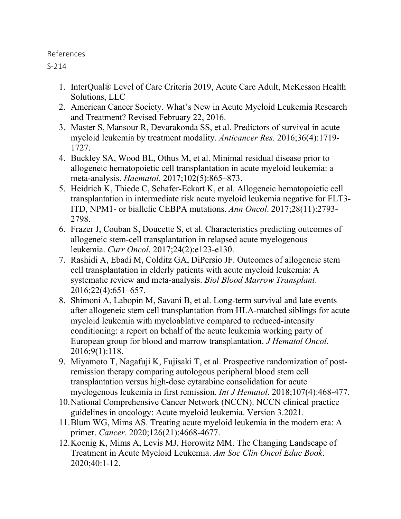## References

S-214

- 1. InterQual® Level of Care Criteria 2019, Acute Care Adult, McKesson Health Solutions, LLC
- 2. American Cancer Society. What's New in Acute Myeloid Leukemia Research and Treatment? Revised February 22, 2016.
- 3. Master S, Mansour R, Devarakonda SS, et al. Predictors of survival in acute myeloid leukemia by treatment modality. *Anticancer Res.* 2016;36(4):1719- 1727.
- 4. Buckley SA, Wood BL, Othus M, et al. Minimal residual disease prior to allogeneic hematopoietic cell transplantation in acute myeloid leukemia: a meta-analysis. *Haematol*. 2017;102(5):865–873.
- 5. Heidrich K, Thiede C, Schafer-Eckart K, et al. Allogeneic hematopoietic cell transplantation in intermediate risk acute myeloid leukemia negative for FLT3- ITD, NPM1- or biallelic CEBPA mutations. *Ann Oncol*. 2017;28(11):2793- 2798.
- 6. Frazer J, Couban S, Doucette S, et al. Characteristics predicting outcomes of allogeneic stem-cell transplantation in relapsed acute myelogenous leukemia. *Curr Oncol*. 2017;24(2):e123-e130.
- 7. Rashidi A, Ebadi M, Colditz GA, DiPersio JF. Outcomes of allogeneic stem cell transplantation in elderly patients with acute myeloid leukemia: A systematic review and meta-analysis. *Biol Blood Marrow Transplant*. 2016;22(4):651–657.
- 8. Shimoni A, Labopin M, Savani B, et al. Long-term survival and late events after allogeneic stem cell transplantation from HLA-matched siblings for acute myeloid leukemia with myeloablative compared to reduced-intensity conditioning: a report on behalf of the acute leukemia working party of European group for blood and marrow transplantation. *J Hematol Oncol*. 2016;9(1):118.
- 9. Miyamoto T, Nagafuji K, Fujisaki T, et al. Prospective randomization of postremission therapy comparing autologous peripheral blood stem cell transplantation versus high-dose cytarabine consolidation for acute myelogenous leukemia in first remission. *Int J Hematol*. 2018;107(4):468-477.
- 10.National Comprehensive Cancer Network (NCCN). NCCN clinical practice guidelines in oncology: Acute myeloid leukemia. Version 3.2021.
- 11.Blum WG, Mims AS. Treating acute myeloid leukemia in the modern era: A primer. *Cancer*. 2020;126(21):4668-4677.
- 12.Koenig K, Mims A, Levis MJ, Horowitz MM. The Changing Landscape of Treatment in Acute Myeloid Leukemia. *Am Soc Clin Oncol Educ Book*. 2020;40:1-12.